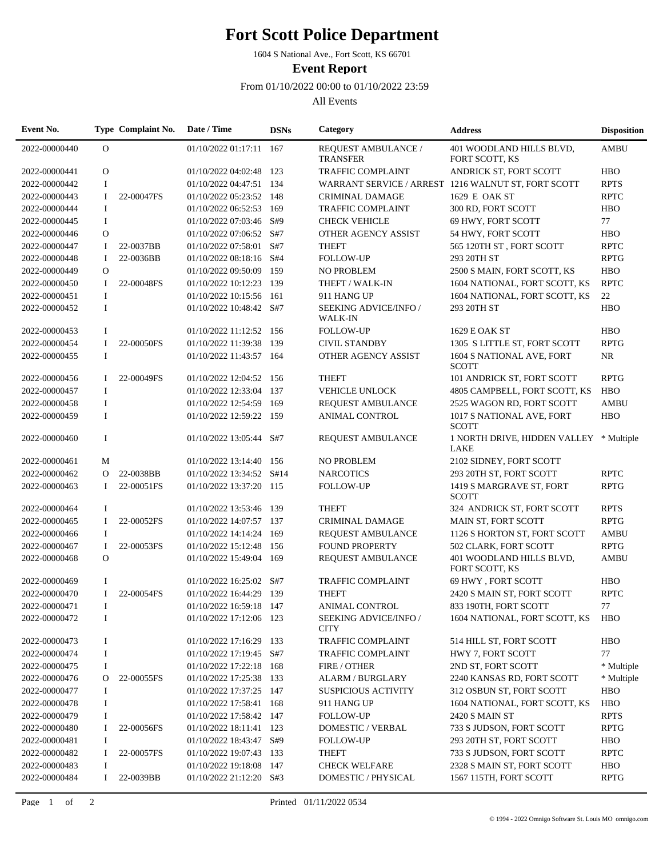## **Fort Scott Police Department**

1604 S National Ave., Fort Scott, KS 66701

**Event Report**

From 01/10/2022 00:00 to 01/10/2022 23:59

All Events

| Event No.     |                | Type Complaint No. | Date / Time              | <b>DSNs</b> | Category                                   | <b>Address</b>                                      | <b>Disposition</b> |
|---------------|----------------|--------------------|--------------------------|-------------|--------------------------------------------|-----------------------------------------------------|--------------------|
| 2022-00000440 | $\overline{O}$ |                    | 01/10/2022 01:17:11 167  |             | REQUEST AMBULANCE /<br><b>TRANSFER</b>     | 401 WOODLAND HILLS BLVD,<br>FORT SCOTT, KS          | <b>AMBU</b>        |
| 2022-00000441 | $\mathbf{O}$   |                    | 01/10/2022 04:02:48 123  |             | <b>TRAFFIC COMPLAINT</b>                   | ANDRICK ST, FORT SCOTT                              | <b>HBO</b>         |
| 2022-00000442 | $\mathbf I$    |                    | 01/10/2022 04:47:51 134  |             |                                            | WARRANT SERVICE / ARREST 1216 WALNUT ST, FORT SCOTT | <b>RPTS</b>        |
| 2022-00000443 | $\mathbf I$    | 22-00047FS         | 01/10/2022 05:23:52 148  |             | <b>CRIMINAL DAMAGE</b>                     | 1629 E OAK ST                                       | <b>RPTC</b>        |
| 2022-00000444 | $\bf{I}$       |                    | 01/10/2022 06:52:53      | 169         | <b>TRAFFIC COMPLAINT</b>                   | 300 RD, FORT SCOTT                                  | <b>HBO</b>         |
| 2022-00000445 | $\bf{I}$       |                    | 01/10/2022 07:03:46 S#9  |             | <b>CHECK VEHICLE</b>                       | 69 HWY, FORT SCOTT                                  | 77                 |
| 2022-00000446 | $\mathbf{O}$   |                    | 01/10/2022 07:06:52 S#7  |             | OTHER AGENCY ASSIST                        | 54 HWY, FORT SCOTT                                  | <b>HBO</b>         |
| 2022-00000447 | $\bf{I}$       | 22-0037BB          | 01/10/2022 07:58:01      | S#7         | <b>THEFT</b>                               | 565 120TH ST, FORT SCOTT                            | <b>RPTC</b>        |
| 2022-00000448 | $\mathbf I$    | 22-0036BB          | 01/10/2022 08:18:16      | S#4         | <b>FOLLOW-UP</b>                           | 293 20TH ST                                         | <b>RPTG</b>        |
| 2022-00000449 | $\circ$        |                    | 01/10/2022 09:50:09      | 159         | <b>NO PROBLEM</b>                          | 2500 S MAIN, FORT SCOTT, KS                         | <b>HBO</b>         |
| 2022-00000450 | $\bf{I}$       | 22-00048FS         | 01/10/2022 10:12:23      | 139         | THEFT / WALK-IN                            | 1604 NATIONAL, FORT SCOTT, KS                       | <b>RPTC</b>        |
| 2022-00000451 | $\mathbf I$    |                    | 01/10/2022 10:15:56      | 161         | 911 HANG UP                                | 1604 NATIONAL, FORT SCOTT, KS                       | $22\,$             |
| 2022-00000452 | $\mathbf I$    |                    | 01/10/2022 10:48:42 S#7  |             | SEEKING ADVICE/INFO /<br><b>WALK-IN</b>    | 293 20TH ST                                         | <b>HBO</b>         |
| 2022-00000453 | $\bf{I}$       |                    | 01/10/2022 11:12:52 156  |             | <b>FOLLOW-UP</b>                           | 1629 E OAK ST                                       | <b>HBO</b>         |
| 2022-00000454 | $\bf{I}$       | 22-00050FS         | 01/10/2022 11:39:38      | 139         | <b>CIVIL STANDBY</b>                       | 1305 S LITTLE ST, FORT SCOTT                        | <b>RPTG</b>        |
| 2022-00000455 | $\bf I$        |                    | 01/10/2022 11:43:57 164  |             | OTHER AGENCY ASSIST                        | 1604 S NATIONAL AVE, FORT<br><b>SCOTT</b>           | <b>NR</b>          |
| 2022-00000456 | $\mathbf{I}$   | 22-00049FS         | 01/10/2022 12:04:52 156  |             | <b>THEFT</b>                               | 101 ANDRICK ST, FORT SCOTT                          | <b>RPTG</b>        |
| 2022-00000457 | $\bf{I}$       |                    | 01/10/2022 12:33:04      | 137         | <b>VEHICLE UNLOCK</b>                      | 4805 CAMPBELL, FORT SCOTT, KS                       | <b>HBO</b>         |
| 2022-00000458 | $\bf I$        |                    | 01/10/2022 12:54:59      | 169         | REQUEST AMBULANCE                          | 2525 WAGON RD, FORT SCOTT                           | <b>AMBU</b>        |
| 2022-00000459 | $\bf{I}$       |                    | 01/10/2022 12:59:22 159  |             | <b>ANIMAL CONTROL</b>                      | 1017 S NATIONAL AVE, FORT<br><b>SCOTT</b>           | <b>HBO</b>         |
| 2022-00000460 | $\bf{I}$       |                    | 01/10/2022 13:05:44 S#7  |             | REQUEST AMBULANCE                          | 1 NORTH DRIVE, HIDDEN VALLEY * Multiple<br>LAKE     |                    |
| 2022-00000461 | M              |                    | 01/10/2022 13:14:40      | 156         | <b>NO PROBLEM</b>                          | 2102 SIDNEY, FORT SCOTT                             |                    |
| 2022-00000462 | O              | 22-0038BB          | 01/10/2022 13:34:52 S#14 |             | <b>NARCOTICS</b>                           | 293 20TH ST, FORT SCOTT                             | <b>RPTC</b>        |
| 2022-00000463 | $\mathbf I$    | 22-00051FS         | 01/10/2022 13:37:20 115  |             | <b>FOLLOW-UP</b>                           | 1419 S MARGRAVE ST, FORT<br><b>SCOTT</b>            | <b>RPTG</b>        |
| 2022-00000464 | $\bf{I}$       |                    | 01/10/2022 13:53:46 139  |             | <b>THEFT</b>                               | 324 ANDRICK ST, FORT SCOTT                          | <b>RPTS</b>        |
| 2022-00000465 | 1              | 22-00052FS         | 01/10/2022 14:07:57 137  |             | <b>CRIMINAL DAMAGE</b>                     | MAIN ST, FORT SCOTT                                 | <b>RPTG</b>        |
| 2022-00000466 | $\bf{I}$       |                    | 01/10/2022 14:14:24      | 169         | <b>REQUEST AMBULANCE</b>                   | 1126 S HORTON ST, FORT SCOTT                        | <b>AMBU</b>        |
| 2022-00000467 | $\mathbf I$    | 22-00053FS         | 01/10/2022 15:12:48      | 156         | <b>FOUND PROPERTY</b>                      | 502 CLARK, FORT SCOTT                               | <b>RPTG</b>        |
| 2022-00000468 | $\mathbf{O}$   |                    | 01/10/2022 15:49:04 169  |             | REQUEST AMBULANCE                          | 401 WOODLAND HILLS BLVD,<br>FORT SCOTT, KS          | <b>AMBU</b>        |
| 2022-00000469 | $\bf{I}$       |                    | 01/10/2022 16:25:02 S#7  |             | TRAFFIC COMPLAINT                          | 69 HWY, FORT SCOTT                                  | <b>HBO</b>         |
| 2022-00000470 | $\mathbf I$    | 22-00054FS         | 01/10/2022 16:44:29      | 139         | <b>THEFT</b>                               | 2420 S MAIN ST, FORT SCOTT                          | <b>RPTC</b>        |
| 2022-00000471 | I              |                    | 01/10/2022 16:59:18 147  |             | <b>ANIMAL CONTROL</b>                      | 833 190TH, FORT SCOTT                               | 77                 |
| 2022-00000472 | $\bf{I}$       |                    | 01/10/2022 17:12:06 123  |             | <b>SEEKING ADVICE/INFO/</b><br><b>CITY</b> | 1604 NATIONAL, FORT SCOTT, KS                       | <b>HBO</b>         |
| 2022-00000473 | $\bf{I}$       |                    | 01/10/2022 17:16:29      | 133         | <b>TRAFFIC COMPLAINT</b>                   | 514 HILL ST, FORT SCOTT                             | <b>HBO</b>         |
| 2022-00000474 | $\bf{I}$       |                    | 01/10/2022 17:19:45      | S#7         | <b>TRAFFIC COMPLAINT</b>                   | HWY 7, FORT SCOTT                                   | 77                 |
| 2022-00000475 | $\bf{I}$       |                    | 01/10/2022 17:22:18      | 168         | FIRE / OTHER                               | 2ND ST, FORT SCOTT                                  | * Multiple         |
| 2022-00000476 | O              | 22-00055FS         | 01/10/2022 17:25:38      | 133         | ALARM / BURGLARY                           | 2240 KANSAS RD, FORT SCOTT                          | * Multiple         |
| 2022-00000477 | $\bf{I}$       |                    | 01/10/2022 17:37:25 147  |             | <b>SUSPICIOUS ACTIVITY</b>                 | 312 OSBUN ST, FORT SCOTT                            | <b>HBO</b>         |
| 2022-00000478 | $\bf{I}$       |                    | 01/10/2022 17:58:41 168  |             | 911 HANG UP                                | 1604 NATIONAL, FORT SCOTT, KS                       | <b>HBO</b>         |
| 2022-00000479 | $\bf{I}$       |                    | 01/10/2022 17:58:42      | 147         | <b>FOLLOW-UP</b>                           | 2420 S MAIN ST                                      | <b>RPTS</b>        |
| 2022-00000480 | -1             | 22-00056FS         | 01/10/2022 18:11:41 123  |             | DOMESTIC / VERBAL                          | 733 S JUDSON, FORT SCOTT                            | <b>RPTG</b>        |
| 2022-00000481 | Ι              |                    | 01/10/2022 18:43:47 S#9  |             | <b>FOLLOW-UP</b>                           | 293 20TH ST, FORT SCOTT                             | <b>HBO</b>         |
| 2022-00000482 | $\bf{I}$       | 22-00057FS         | 01/10/2022 19:07:43 133  |             | <b>THEFT</b>                               | 733 S JUDSON, FORT SCOTT                            | <b>RPTC</b>        |
| 2022-00000483 | Ι              |                    | 01/10/2022 19:18:08      | - 147       | <b>CHECK WELFARE</b>                       | 2328 S MAIN ST, FORT SCOTT                          | <b>HBO</b>         |
| 2022-00000484 | Ι.             | 22-0039BB          | 01/10/2022 21:12:20 S#3  |             | DOMESTIC / PHYSICAL                        | 1567 115TH, FORT SCOTT                              | <b>RPTG</b>        |